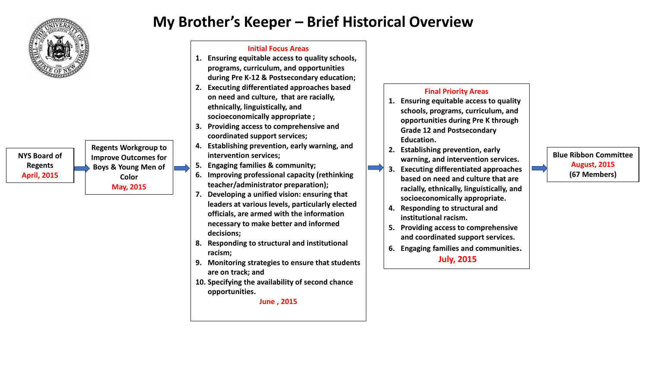

**NYS Board of Regents April, 2015**

**Regents Workgroup to Improve Outcomes for Boys & Young Men of Color May, 2015**

## **My Brother's Keeper – Brief Historical Overview**

## **Initial Focus Areas**

- **1. Ensuring equitable access to quality schools, programs, curriculum, and opportunities during Pre K-12 & Postsecondary education;**
- **2. Executing differentiated approaches based on need and culture, that are racially, ethnically, linguistically, and socioeconomically appropriate ;**
- **3. Providing access to comprehensive and coordinated support services;**
- **4. Establishing prevention, early warning, and intervention services;**
- **5. Engaging families & community;**
- **6. Improving professional capacity (rethinking teacher/administrator preparation);**
- **7. Developing a unified vision: ensuring that leaders at various levels, particularly elected officials, are armed with the information necessary to make better and informed decisions;**
- **8. Responding to structural and institutional racism;**
- **9. Monitoring strategies to ensure that students are on track; and**
- **10. Specifying the availability of second chance opportunities.**

**June , 2015**

## **Final Priority Areas**

- **1. Ensuring equitable access to quality schools, programs, curriculum, and opportunities during Pre K through Grade 12 and Postsecondary Education.**
- **2. Establishing prevention, early warning, and intervention services.**
- **3. Executing differentiated approaches based on need and culture that are racially, ethnically, linguistically, and socioeconomically appropriate.**
- **4. Responding to structural and institutional racism.**
- **5. Providing access to comprehensive and coordinated support services.**
- **6. Engaging families and communities. July, 2015**

## **Blue Ribbon Committee August, 2015 (67 Members)**